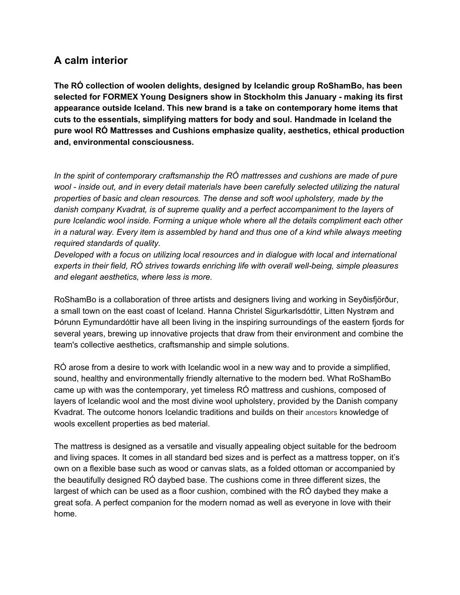## **A calm interior**

**The RÓ collection of woolen delights, designed by Icelandic group RoShamBo, has been selected for FORMEX Young Designers show in Stockholm this January - making its first appearance outside Iceland. This new brand is a take on contemporary home items that cuts to the essentials, simplifying matters for body and soul. Handmade in Iceland the pure wool RÓ Mattresses and Cushions emphasize quality, aesthetics, ethical production and, environmental consciousness.**

*In the spirit of contemporary craftsmanship the RÓ mattresses and cushions are made of pure wool - inside out, and in every detail materials have been carefully selected utilizing the natural properties of basic and clean resources. The dense and soft wool upholstery, made by the danish company Kvadrat, is of supreme quality and a perfect accompaniment to the layers of pure Icelandic wool inside. Forming a unique whole where all the details compliment each other in a natural way. Every item is assembled by hand and thus one of a kind while always meeting required standards of quality.*

*Developed with a focus on utilizing local resources and in dialogue with local and international experts in their field, RÓ strives towards enriching life with overall well-being, simple pleasures and elegant aesthetics, where less is more.*

RoShamBo is a collaboration of three artists and designers living and working in Seyðisfjörður, a small town on the east coast of Iceland. Hanna Christel Sigurkarlsdóttir, Litten Nystrøm and Þórunn Eymundardóttir have all been living in the inspiring surroundings of the eastern fjords for several years, brewing up innovative projects that draw from their environment and combine the team's collective aesthetics, craftsmanship and simple solutions.

RÓ arose from a desire to work with Icelandic wool in a new way and to provide a simplified, sound, healthy and environmentally friendly alternative to the modern bed. What RoShamBo came up with was the contemporary, yet timeless RÓ mattress and cushions, composed of layers of Icelandic wool and the most divine wool upholstery, provided by the Danish company Kvadrat. The outcome honors Icelandic traditions and builds on their ancestors knowledge of wools excellent properties as bed material.

The mattress is designed as a versatile and visually appealing object suitable for the bedroom and living spaces. It comes in all standard bed sizes and is perfect as a mattress topper, on it's own on a flexible base such as wood or canvas slats, as a folded ottoman or accompanied by the beautifully designed RÓ daybed base. The cushions come in three different sizes, the largest of which can be used as a floor cushion, combined with the RÓ daybed they make a great sofa. A perfect companion for the modern nomad as well as everyone in love with their home.